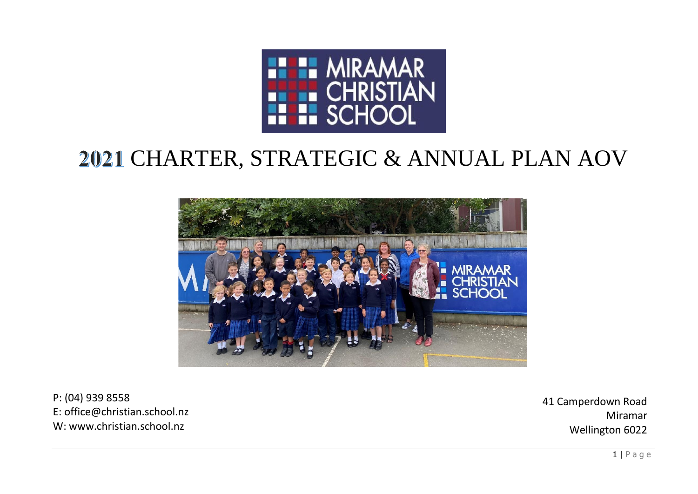

# CHARTER, STRATEGIC & ANNUAL PLAN AOV



P: (04) 939 8558 E: office@christian.school.nz W: www.christian.school.nz

41 Camperdown Road Miramar Wellington 6022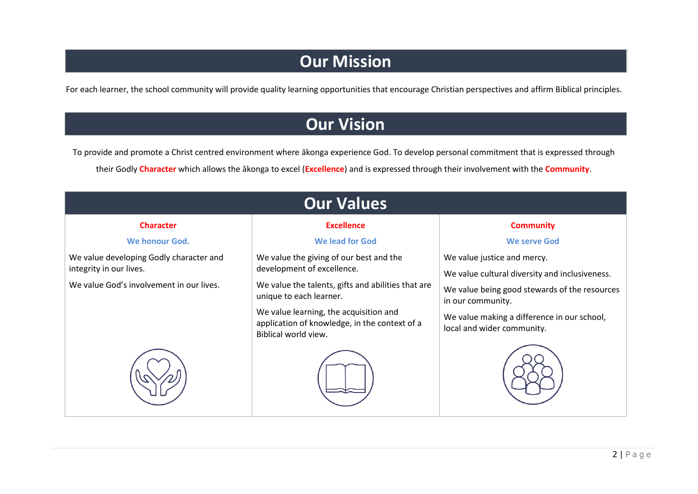### **Our Mission**

For each learner, the school community will provide quality learning opportunities that encourage Christian perspectives and affirm Biblical principles.

### **Our Vision**

To provide and promote a Christ centred environment where ākonga experience God. To develop personal commitment that is expressed through their Godly **Character** which allows the ākonga to excel (**Excellence**) and is expressed through their involvement with the **Community**.

| <b>Our Values</b>                                                                                              |                                                                                                                                                                                                                                                                           |                                                                                                                                                                                                                                  |  |  |  |  |
|----------------------------------------------------------------------------------------------------------------|---------------------------------------------------------------------------------------------------------------------------------------------------------------------------------------------------------------------------------------------------------------------------|----------------------------------------------------------------------------------------------------------------------------------------------------------------------------------------------------------------------------------|--|--|--|--|
| <b>Character</b>                                                                                               | <b>Excellence</b>                                                                                                                                                                                                                                                         | <b>Community</b>                                                                                                                                                                                                                 |  |  |  |  |
| We honour God.                                                                                                 | <b>We lead for God</b>                                                                                                                                                                                                                                                    | <b>We serve God</b>                                                                                                                                                                                                              |  |  |  |  |
| We value developing Godly character and<br>integrity in our lives.<br>We value God's involvement in our lives. | We value the giving of our best and the<br>development of excellence.<br>We value the talents, gifts and abilities that are<br>unique to each learner.<br>We value learning, the acquisition and<br>application of knowledge, in the context of a<br>Biblical world view. | We value justice and mercy.<br>We value cultural diversity and inclusiveness.<br>We value being good stewards of the resources<br>in our community.<br>We value making a difference in our school,<br>local and wider community. |  |  |  |  |
|                                                                                                                |                                                                                                                                                                                                                                                                           |                                                                                                                                                                                                                                  |  |  |  |  |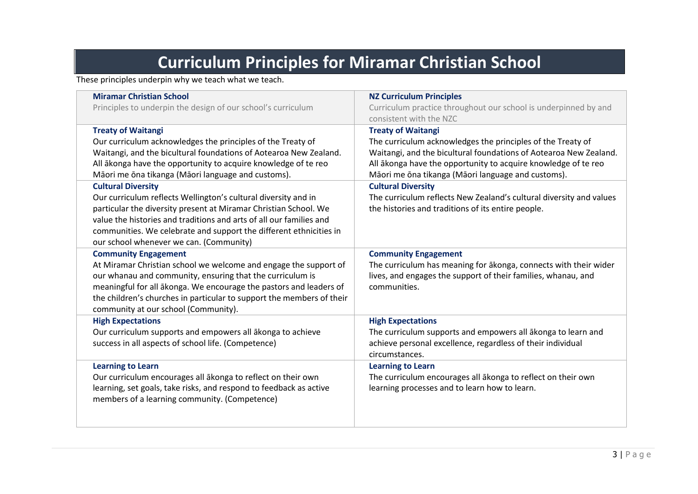## **Curriculum Principles for Miramar Christian School**

These principles underpin why we teach what we teach.

| <b>Miramar Christian School</b><br>Principles to underpin the design of our school's curriculum                                                                                                                                                                                                                                                                                                                                                                                                                                                                                                                                                  | <b>NZ Curriculum Principles</b><br>Curriculum practice throughout our school is underpinned by and<br>consistent with the NZC                                                                                                                                                                                                                                                                                                                   |
|--------------------------------------------------------------------------------------------------------------------------------------------------------------------------------------------------------------------------------------------------------------------------------------------------------------------------------------------------------------------------------------------------------------------------------------------------------------------------------------------------------------------------------------------------------------------------------------------------------------------------------------------------|-------------------------------------------------------------------------------------------------------------------------------------------------------------------------------------------------------------------------------------------------------------------------------------------------------------------------------------------------------------------------------------------------------------------------------------------------|
| <b>Treaty of Waitangi</b><br>Our curriculum acknowledges the principles of the Treaty of<br>Waitangi, and the bicultural foundations of Aotearoa New Zealand.<br>All akonga have the opportunity to acquire knowledge of te reo<br>Māori me ōna tikanga (Māori language and customs).<br><b>Cultural Diversity</b><br>Our curriculum reflects Wellington's cultural diversity and in<br>particular the diversity present at Miramar Christian School. We<br>value the histories and traditions and arts of all our families and<br>communities. We celebrate and support the different ethnicities in<br>our school whenever we can. (Community) | <b>Treaty of Waitangi</b><br>The curriculum acknowledges the principles of the Treaty of<br>Waitangi, and the bicultural foundations of Aotearoa New Zealand.<br>All akonga have the opportunity to acquire knowledge of te reo<br>Māori me ōna tikanga (Māori language and customs).<br><b>Cultural Diversity</b><br>The curriculum reflects New Zealand's cultural diversity and values<br>the histories and traditions of its entire people. |
| <b>Community Engagement</b><br>At Miramar Christian school we welcome and engage the support of<br>our whanau and community, ensuring that the curriculum is<br>meaningful for all ākonga. We encourage the pastors and leaders of<br>the children's churches in particular to support the members of their<br>community at our school (Community).                                                                                                                                                                                                                                                                                              | <b>Community Engagement</b><br>The curriculum has meaning for akonga, connects with their wider<br>lives, and engages the support of their families, whanau, and<br>communities.                                                                                                                                                                                                                                                                |
| <b>High Expectations</b><br>Our curriculum supports and empowers all ākonga to achieve<br>success in all aspects of school life. (Competence)                                                                                                                                                                                                                                                                                                                                                                                                                                                                                                    | <b>High Expectations</b><br>The curriculum supports and empowers all ākonga to learn and<br>achieve personal excellence, regardless of their individual<br>circumstances.                                                                                                                                                                                                                                                                       |
| <b>Learning to Learn</b><br>Our curriculum encourages all ākonga to reflect on their own<br>learning, set goals, take risks, and respond to feedback as active<br>members of a learning community. (Competence)                                                                                                                                                                                                                                                                                                                                                                                                                                  | <b>Learning to Learn</b><br>The curriculum encourages all ākonga to reflect on their own<br>learning processes and to learn how to learn.                                                                                                                                                                                                                                                                                                       |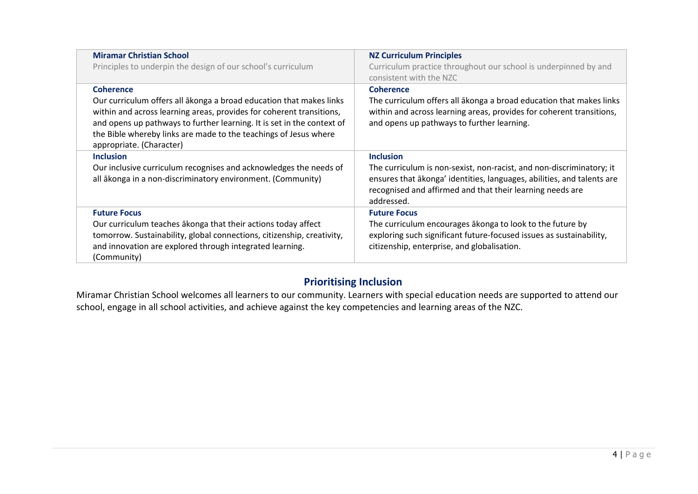| <b>Miramar Christian School</b><br>Principles to underpin the design of our school's curriculum                                                                                                                                                                                                                                           | <b>NZ Curriculum Principles</b><br>Curriculum practice throughout our school is underpinned by and<br>consistent with the NZC                                                                                                                 |
|-------------------------------------------------------------------------------------------------------------------------------------------------------------------------------------------------------------------------------------------------------------------------------------------------------------------------------------------|-----------------------------------------------------------------------------------------------------------------------------------------------------------------------------------------------------------------------------------------------|
| <b>Coherence</b><br>Our curriculum offers all akonga a broad education that makes links<br>within and across learning areas, provides for coherent transitions,<br>and opens up pathways to further learning. It is set in the context of<br>the Bible whereby links are made to the teachings of Jesus where<br>appropriate. (Character) | <b>Coherence</b><br>The curriculum offers all akonga a broad education that makes links<br>within and across learning areas, provides for coherent transitions,<br>and opens up pathways to further learning.                                 |
| <b>Inclusion</b><br>Our inclusive curriculum recognises and acknowledges the needs of<br>all ākonga in a non-discriminatory environment. (Community)                                                                                                                                                                                      | <b>Inclusion</b><br>The curriculum is non-sexist, non-racist, and non-discriminatory; it<br>ensures that akonga' identities, languages, abilities, and talents are<br>recognised and affirmed and that their learning needs are<br>addressed. |
| <b>Future Focus</b><br>Our curriculum teaches akonga that their actions today affect<br>tomorrow. Sustainability, global connections, citizenship, creativity,<br>and innovation are explored through integrated learning.<br>(Community)                                                                                                 | <b>Future Focus</b><br>The curriculum encourages akonga to look to the future by<br>exploring such significant future-focused issues as sustainability,<br>citizenship, enterprise, and globalisation.                                        |

#### **Prioritising Inclusion**

Miramar Christian School welcomes all learners to our community. Learners with special education needs are supported to attend our school, engage in all school activities, and achieve against the key competencies and learning areas of the NZC.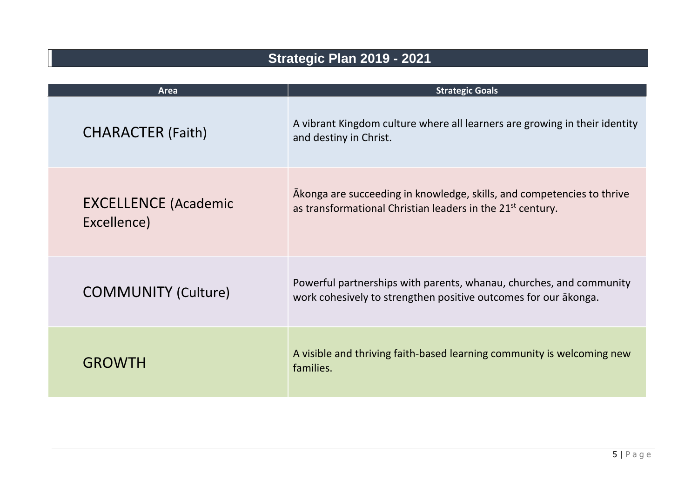### **Strategic Plan 2019 - 2021**

| <b>Area</b>                                | <b>Strategic Goals</b>                                                                                                                           |
|--------------------------------------------|--------------------------------------------------------------------------------------------------------------------------------------------------|
| <b>CHARACTER (Faith)</b>                   | A vibrant Kingdom culture where all learners are growing in their identity<br>and destiny in Christ.                                             |
| <b>EXCELLENCE (Academic</b><br>Excellence) | Akonga are succeeding in knowledge, skills, and competencies to thrive<br>as transformational Christian leaders in the 21 <sup>st</sup> century. |
| <b>COMMUNITY (Culture)</b>                 | Powerful partnerships with parents, whanau, churches, and community<br>work cohesively to strengthen positive outcomes for our akonga.           |
| <b>GROWTH</b>                              | A visible and thriving faith-based learning community is welcoming new<br>families.                                                              |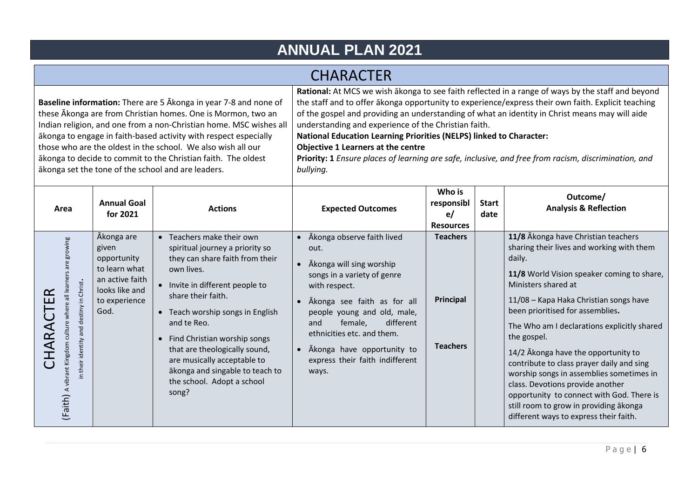### **ANNUAL PLAN 2021**

### **CHARACTER**

**Baseline information:** There are 5 Ākonga in year 7-8 and none of these Ākonga are from Christian homes. One is Mormon, two an Indian religion, and one from a non-Christian home. MSC wishes all ākonga to engage in faith-based activity with respect especially those who are the oldest in the school. We also wish all our ākonga to decide to commit to the Christian faith. The oldest ākonga set the tone of the school and are leaders.

**Rational:** At MCS we wish ākonga to see faith reflected in a range of ways by the staff and beyond the staff and to offer ākonga opportunity to experience/express their own faith. Explicit teaching of the gospel and providing an understanding of what an identity in Christ means may will aide understanding and experience of the Christian faith.

**National Education Learning Priorities (NELPS) linked to Character:** 

#### **Objective 1 Learners at the centre**

| Area                                                                                                        | <b>Annual Goal</b><br>for 2021                                                                                    | <b>Actions</b>                                                                                                                                                                                                                                                                                                                                                                                        | <b>Expected Outcomes</b>                                                                                                                                                                                                                                                                                                         | Who is<br>responsibl<br>e/<br><b>Resources</b>  | <b>Start</b><br>date | Outcome/<br><b>Analysis &amp; Reflection</b>                                                                                                                                                                                                                                                                                                                                                                                                                                                                                                                                                                     |
|-------------------------------------------------------------------------------------------------------------|-------------------------------------------------------------------------------------------------------------------|-------------------------------------------------------------------------------------------------------------------------------------------------------------------------------------------------------------------------------------------------------------------------------------------------------------------------------------------------------------------------------------------------------|----------------------------------------------------------------------------------------------------------------------------------------------------------------------------------------------------------------------------------------------------------------------------------------------------------------------------------|-------------------------------------------------|----------------------|------------------------------------------------------------------------------------------------------------------------------------------------------------------------------------------------------------------------------------------------------------------------------------------------------------------------------------------------------------------------------------------------------------------------------------------------------------------------------------------------------------------------------------------------------------------------------------------------------------------|
| are growing<br>Christ.<br>and destiny in<br>where<br>culture<br>their identity<br>(Faith) A vibrant Kingdom | Ākonga are<br>given<br>opportunity<br>to learn what<br>an active faith<br>looks like and<br>to experience<br>God. | • Teachers make their own<br>spiritual journey a priority so<br>they can share faith from their<br>own lives.<br>• Invite in different people to<br>share their faith.<br>• Teach worship songs in English<br>and te Reo.<br>• Find Christian worship songs<br>that are theologically sound,<br>are musically acceptable to<br>ākonga and singable to teach to<br>the school. Adopt a school<br>song? | Ākonga observe faith lived<br>out.<br>Ākonga will sing worship<br>songs in a variety of genre<br>with respect.<br>Ākonga see faith as for all<br>people young and old, male,<br>different<br>female,<br>and<br>ethnicities etc. and them.<br>Akonga have opportunity to<br>$\bullet$<br>express their faith indifferent<br>ways. | <b>Teachers</b><br>Principal<br><b>Teachers</b> |                      | 11/8 Akonga have Christian teachers<br>sharing their lives and working with them<br>daily.<br>11/8 World Vision speaker coming to share,<br>Ministers shared at<br>11/08 - Kapa Haka Christian songs have<br>been prioritised for assemblies.<br>The Who am I declarations explicitly shared<br>the gospel.<br>14/2 Akonga have the opportunity to<br>contribute to class prayer daily and sing<br>worship songs in assemblies sometimes in<br>class. Devotions provide another<br>opportunity to connect with God. There is<br>still room to grow in providing ākonga<br>different ways to express their faith. |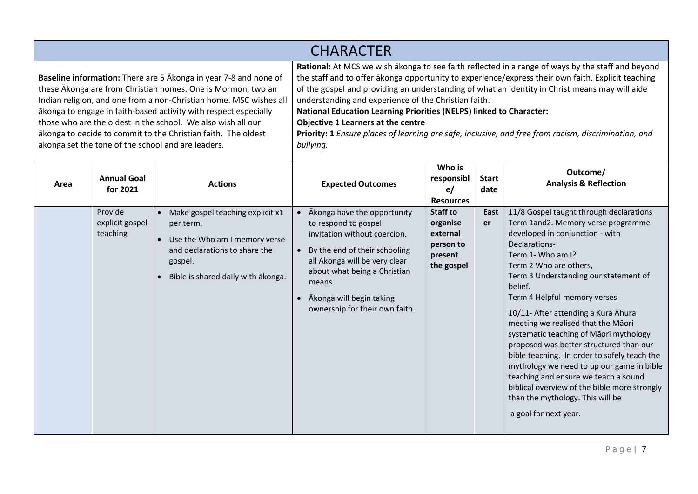**Baseline information:** There are 5 Ākonga in year 7-8 and none of these Ākonga are from Christian homes. One is Mormon, two an Indian religion, and one from a non-Christian home. MSC wishes all ākonga to engage in faith-based activity with respect especially those who are the oldest in the school. We also wish all our ākonga to decide to commit to the Christian faith. The oldest ākonga set the tone of the school and are leaders.

**Rational:** At MCS we wish ākonga to see faith reflected in a range of ways by the staff and beyond the staff and to offer ākonga opportunity to experience/express their own faith. Explicit teaching of the gospel and providing an understanding of what an identity in Christ means may will aide understanding and experience of the Christian faith.

**National Education Learning Priorities (NELPS) linked to Character:** 

**Objective 1 Learners at the centre**

| Area | <b>Annual Goal</b><br>for 2021<br>Provide | <b>Actions</b><br>Make gospel teaching explicit x1                                                                           | <b>Expected Outcomes</b><br>Akonga have the opportunity                                                                                                                                                                                     | Who is<br>responsibl<br>e/<br><b>Resources</b><br>Staff to | <b>Start</b><br>date<br>East | Outcome/<br><b>Analysis &amp; Reflection</b><br>11/8 Gospel taught through declarations                                                                                                                                                                                                                                                                                                                                                                                                                                                                                                                                                       |
|------|-------------------------------------------|------------------------------------------------------------------------------------------------------------------------------|---------------------------------------------------------------------------------------------------------------------------------------------------------------------------------------------------------------------------------------------|------------------------------------------------------------|------------------------------|-----------------------------------------------------------------------------------------------------------------------------------------------------------------------------------------------------------------------------------------------------------------------------------------------------------------------------------------------------------------------------------------------------------------------------------------------------------------------------------------------------------------------------------------------------------------------------------------------------------------------------------------------|
|      | explicit gospel<br>teaching               | per term.<br>Use the Who am I memory verse<br>and declarations to share the<br>gospel.<br>Bible is shared daily with akonga. | to respond to gospel<br>invitation without coercion.<br>By the end of their schooling<br>all Ākonga will be very clear<br>about what being a Christian<br>means.<br>Ākonga will begin taking<br>$\bullet$<br>ownership for their own faith. | organise<br>external<br>person to<br>present<br>the gospel | er                           | Term 1and2. Memory verse programme<br>developed in conjunction - with<br>Declarations-<br>Term 1- Who am I?<br>Term 2 Who are others,<br>Term 3 Understanding our statement of<br>belief.<br>Term 4 Helpful memory verses<br>10/11- After attending a Kura Ahura<br>meeting we realised that the Māori<br>systematic teaching of Māori mythology<br>proposed was better structured than our<br>bible teaching. In order to safely teach the<br>mythology we need to up our game in bible<br>teaching and ensure we teach a sound<br>biblical overview of the bible more strongly<br>than the mythology. This will be<br>a goal for next year. |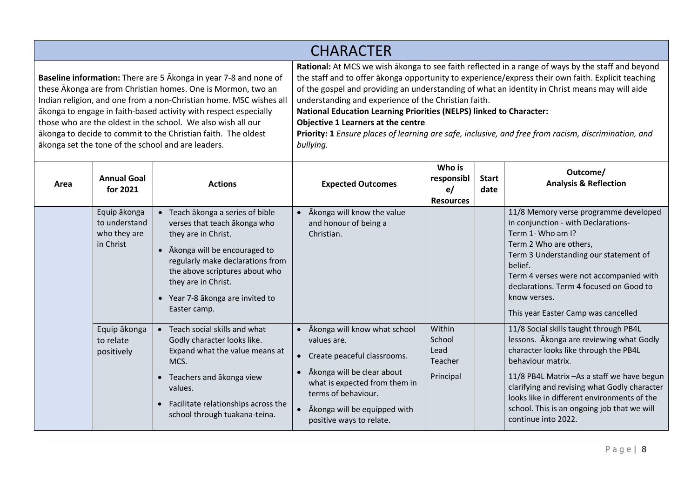**Baseline information:** There are 5 Ākonga in year 7-8 and none of these Ākonga are from Christian homes. One is Mormon, two an Indian religion, and one from a non-Christian home. MSC wishes all ākonga to engage in faith-based activity with respect especially those who are the oldest in the school. We also wish all our ākonga to decide to commit to the Christian faith. The oldest ākonga set the tone of the school and are leaders.

**Rational:** At MCS we wish ākonga to see faith reflected in a range of ways by the staff and beyond the staff and to offer ākonga opportunity to experience/express their own faith. Explicit teaching of the gospel and providing an understanding of what an identity in Christ means may will aide understanding and experience of the Christian faith.

**National Education Learning Priorities (NELPS) linked to Character:** 

**Objective 1 Learners at the centre**

| Area | <b>Annual Goal</b><br>for 2021                             | <b>Actions</b>                                                                                                                                                                                                                                                         | <b>Expected Outcomes</b>                                                                                                                                                                                                                                            | Who is<br>responsibl<br>e/<br><b>Resources</b>   | <b>Start</b><br>date | Outcome/<br><b>Analysis &amp; Reflection</b>                                                                                                                                                                                                                                                                                                                         |
|------|------------------------------------------------------------|------------------------------------------------------------------------------------------------------------------------------------------------------------------------------------------------------------------------------------------------------------------------|---------------------------------------------------------------------------------------------------------------------------------------------------------------------------------------------------------------------------------------------------------------------|--------------------------------------------------|----------------------|----------------------------------------------------------------------------------------------------------------------------------------------------------------------------------------------------------------------------------------------------------------------------------------------------------------------------------------------------------------------|
|      | Equip ākonga<br>to understand<br>who they are<br>in Christ | Teach ākonga a series of bible<br>verses that teach akonga who<br>they are in Christ.<br>• Ākonga will be encouraged to<br>regularly make declarations from<br>the above scriptures about who<br>they are in Christ.<br>Year 7-8 ākonga are invited to<br>Easter camp. | Ākonga will know the value<br>and honour of being a<br>Christian.                                                                                                                                                                                                   |                                                  |                      | 11/8 Memory verse programme developed<br>in conjunction - with Declarations-<br>Term 1- Who am I?<br>Term 2 Who are others,<br>Term 3 Understanding our statement of<br>belief.<br>Term 4 verses were not accompanied with<br>declarations. Term 4 focused on Good to<br>know verses.<br>This year Easter Camp was cancelled                                         |
|      | Equip ākonga<br>to relate<br>positively                    | • Teach social skills and what<br>Godly character looks like.<br>Expand what the value means at<br>MCS.<br>Teachers and ākonga view<br>values.<br>Facilitate relationships across the<br>school through tuakana-teina.                                                 | Ākonga will know what school<br>$\bullet$<br>values are.<br>Create peaceful classrooms.<br>$\bullet$<br>Ākonga will be clear about<br>$\bullet$<br>what is expected from them in<br>terms of behaviour.<br>Akonga will be equipped with<br>positive ways to relate. | Within<br>School<br>Lead<br>Teacher<br>Principal |                      | 11/8 Social skills taught through PB4L<br>lessons. Akonga are reviewing what Godly<br>character looks like through the PB4L<br>behaviour matrix.<br>11/8 PB4L Matrix - As a staff we have begun<br>clarifying and revising what Godly character<br>looks like in different environments of the<br>school. This is an ongoing job that we will<br>continue into 2022. |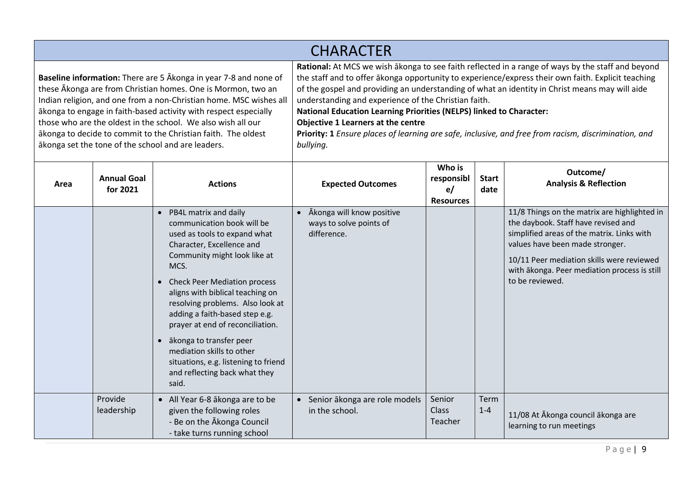**Baseline information:** There are 5 Ākonga in year 7-8 and none of these Ākonga are from Christian homes. One is Mormon, two an Indian religion, and one from a non-Christian home. MSC wishes all ākonga to engage in faith-based activity with respect especially those who are the oldest in the school. We also wish all our ākonga to decide to commit to the Christian faith. The oldest ākonga set the tone of the school and are leaders.

**Rational:** At MCS we wish ākonga to see faith reflected in a range of ways by the staff and beyond the staff and to offer ākonga opportunity to experience/express their own faith. Explicit teaching of the gospel and providing an understanding of what an identity in Christ means may will aide understanding and experience of the Christian faith.

**National Education Learning Priorities (NELPS) linked to Character:** 

#### **Objective 1 Learners at the centre**

| Area | <b>Annual Goal</b><br>for 2021 | <b>Actions</b>                                                                                                                                                                                                                                                                                                                                                                                                                                                                                         | <b>Expected Outcomes</b>                                            | Who is<br>responsibl<br>e/<br><b>Resources</b> | <b>Start</b><br>date   | Outcome/<br><b>Analysis &amp; Reflection</b>                                                                                                                                                                                                                                         |
|------|--------------------------------|--------------------------------------------------------------------------------------------------------------------------------------------------------------------------------------------------------------------------------------------------------------------------------------------------------------------------------------------------------------------------------------------------------------------------------------------------------------------------------------------------------|---------------------------------------------------------------------|------------------------------------------------|------------------------|--------------------------------------------------------------------------------------------------------------------------------------------------------------------------------------------------------------------------------------------------------------------------------------|
|      |                                | • PB4L matrix and daily<br>communication book will be<br>used as tools to expand what<br>Character, Excellence and<br>Community might look like at<br>MCS.<br><b>Check Peer Mediation process</b><br>$\bullet$<br>aligns with biblical teaching on<br>resolving problems. Also look at<br>adding a faith-based step e.g.<br>prayer at end of reconciliation.<br>ākonga to transfer peer<br>mediation skills to other<br>situations, e.g. listening to friend<br>and reflecting back what they<br>said. | Ākonga will know positive<br>ways to solve points of<br>difference. |                                                |                        | 11/8 Things on the matrix are highlighted in<br>the daybook. Staff have revised and<br>simplified areas of the matrix. Links with<br>values have been made stronger.<br>10/11 Peer mediation skills were reviewed<br>with ākonga. Peer mediation process is still<br>to be reviewed. |
|      | Provide<br>leadership          | • All Year 6-8 ākonga are to be<br>given the following roles<br>- Be on the Akonga Council<br>- take turns running school                                                                                                                                                                                                                                                                                                                                                                              | Senior ākonga are role models<br>$\bullet$<br>in the school.        | Senior<br>Class<br>Teacher                     | <b>Term</b><br>$1 - 4$ | 11/08 At Ākonga council ākonga are<br>learning to run meetings                                                                                                                                                                                                                       |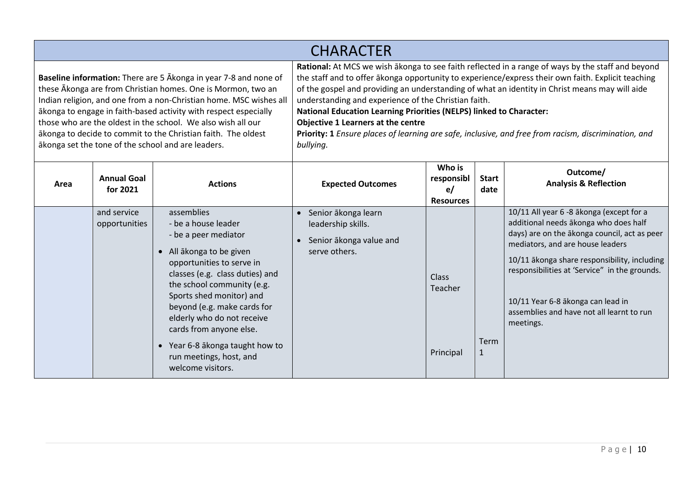**Baseline information:** There are 5 Ākonga in year 7-8 and none of these Ākonga are from Christian homes. One is Mormon, two an Indian religion, and one from a non-Christian home. MSC wishes all ākonga to engage in faith-based activity with respect especially those who are the oldest in the school. We also wish all our ākonga to decide to commit to the Christian faith. The oldest ākonga set the tone of the school and are leaders.

**Rational:** At MCS we wish ākonga to see faith reflected in a range of ways by the staff and beyond the staff and to offer ākonga opportunity to experience/express their own faith. Explicit teaching of the gospel and providing an understanding of what an identity in Christ means may will aide understanding and experience of the Christian faith.

**National Education Learning Priorities (NELPS) linked to Character:** 

#### **Objective 1 Learners at the centre**

| Area | <b>Annual Goal</b><br>for 2021 | <b>Actions</b>                                                                                                                                                                                                                                                                                                                                                                                        | <b>Expected Outcomes</b>                                                                           | Who is<br>responsibl<br>e/<br><b>Resources</b> | <b>Start</b><br>date | Outcome/<br><b>Analysis &amp; Reflection</b>                                                                                                                                                                                                                                                                                                                          |
|------|--------------------------------|-------------------------------------------------------------------------------------------------------------------------------------------------------------------------------------------------------------------------------------------------------------------------------------------------------------------------------------------------------------------------------------------------------|----------------------------------------------------------------------------------------------------|------------------------------------------------|----------------------|-----------------------------------------------------------------------------------------------------------------------------------------------------------------------------------------------------------------------------------------------------------------------------------------------------------------------------------------------------------------------|
|      | and service<br>opportunities   | assemblies<br>- be a house leader<br>- be a peer mediator<br>• All ākonga to be given<br>opportunities to serve in<br>classes (e.g. class duties) and<br>the school community (e.g.<br>Sports shed monitor) and<br>beyond (e.g. make cards for<br>elderly who do not receive<br>cards from anyone else.<br>Year 6-8 ākonga taught how to<br>$\bullet$<br>run meetings, host, and<br>welcome visitors. | Senior ākonga learn<br>$\bullet$<br>leadership skills.<br>Senior ākonga value and<br>serve others. | <b>Class</b><br>Teacher<br>Principal           | Term<br>1            | 10/11 All year 6 -8 ākonga (except for a<br>additional needs ākonga who does half<br>days) are on the akonga council, act as peer<br>mediators, and are house leaders<br>10/11 ākonga share responsibility, including<br>responsibilities at 'Service" in the grounds.<br>10/11 Year 6-8 ākonga can lead in<br>assemblies and have not all learnt to run<br>meetings. |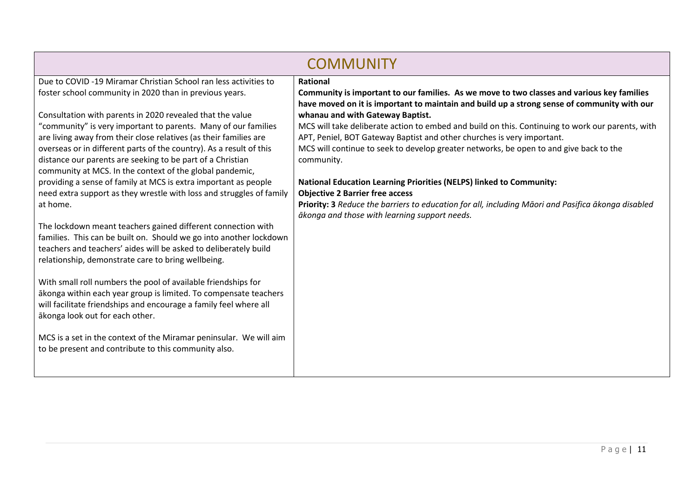|                                                                                                                                                                                                                                           | <b>COMMUNITY</b>                                                                                                                                                                          |  |  |  |  |  |  |
|-------------------------------------------------------------------------------------------------------------------------------------------------------------------------------------------------------------------------------------------|-------------------------------------------------------------------------------------------------------------------------------------------------------------------------------------------|--|--|--|--|--|--|
| Due to COVID -19 Miramar Christian School ran less activities to                                                                                                                                                                          | <b>Rational</b>                                                                                                                                                                           |  |  |  |  |  |  |
| foster school community in 2020 than in previous years.                                                                                                                                                                                   | Community is important to our families. As we move to two classes and various key families<br>have moved on it is important to maintain and build up a strong sense of community with our |  |  |  |  |  |  |
| Consultation with parents in 2020 revealed that the value                                                                                                                                                                                 | whanau and with Gateway Baptist.                                                                                                                                                          |  |  |  |  |  |  |
| "community" is very important to parents. Many of our families<br>are living away from their close relatives (as their families are                                                                                                       | MCS will take deliberate action to embed and build on this. Continuing to work our parents, with<br>APT, Peniel, BOT Gateway Baptist and other churches is very important.                |  |  |  |  |  |  |
| overseas or in different parts of the country). As a result of this<br>distance our parents are seeking to be part of a Christian<br>community at MCS. In the context of the global pandemic,                                             | MCS will continue to seek to develop greater networks, be open to and give back to the<br>community.                                                                                      |  |  |  |  |  |  |
| providing a sense of family at MCS is extra important as people                                                                                                                                                                           | <b>National Education Learning Priorities (NELPS) linked to Community:</b><br><b>Objective 2 Barrier free access</b>                                                                      |  |  |  |  |  |  |
| need extra support as they wrestle with loss and struggles of family<br>at home.                                                                                                                                                          | Priority: 3 Reduce the barriers to education for all, including Māori and Pasifica ākonga disabled<br>ākonga and those with learning support needs.                                       |  |  |  |  |  |  |
| The lockdown meant teachers gained different connection with<br>families. This can be built on. Should we go into another lockdown                                                                                                        |                                                                                                                                                                                           |  |  |  |  |  |  |
| teachers and teachers' aides will be asked to deliberately build                                                                                                                                                                          |                                                                                                                                                                                           |  |  |  |  |  |  |
| relationship, demonstrate care to bring wellbeing.                                                                                                                                                                                        |                                                                                                                                                                                           |  |  |  |  |  |  |
| With small roll numbers the pool of available friendships for<br>ākonga within each year group is limited. To compensate teachers<br>will facilitate friendships and encourage a family feel where all<br>ākonga look out for each other. |                                                                                                                                                                                           |  |  |  |  |  |  |
|                                                                                                                                                                                                                                           |                                                                                                                                                                                           |  |  |  |  |  |  |
| MCS is a set in the context of the Miramar peninsular. We will aim<br>to be present and contribute to this community also.                                                                                                                |                                                                                                                                                                                           |  |  |  |  |  |  |
|                                                                                                                                                                                                                                           |                                                                                                                                                                                           |  |  |  |  |  |  |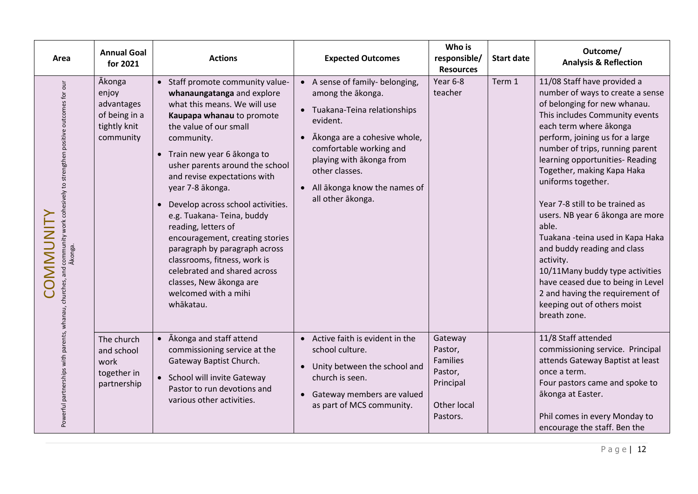| Area                                                                                               | <b>Annual Goal</b><br>for 2021                                                     | <b>Actions</b>                                                                                                                                                                                                                                                                                                                                                                                                                                                                                                                                                                          | <b>Expected Outcomes</b>                                                                                                                                                                                                                                      | Who is<br>responsible/<br><b>Resources</b>                                        | <b>Start date</b> | Outcome/<br><b>Analysis &amp; Reflection</b>                                                                                                                                                                                                                                                                                                                                                                                                                                                                                                                                                                                                        |
|----------------------------------------------------------------------------------------------------|------------------------------------------------------------------------------------|-----------------------------------------------------------------------------------------------------------------------------------------------------------------------------------------------------------------------------------------------------------------------------------------------------------------------------------------------------------------------------------------------------------------------------------------------------------------------------------------------------------------------------------------------------------------------------------------|---------------------------------------------------------------------------------------------------------------------------------------------------------------------------------------------------------------------------------------------------------------|-----------------------------------------------------------------------------------|-------------------|-----------------------------------------------------------------------------------------------------------------------------------------------------------------------------------------------------------------------------------------------------------------------------------------------------------------------------------------------------------------------------------------------------------------------------------------------------------------------------------------------------------------------------------------------------------------------------------------------------------------------------------------------------|
| and community work cohesively to strengthen positive outcomes for our<br>Ākonga.<br><b>COMMUNI</b> | <b>Ākonga</b><br>enjoy<br>advantages<br>of being in a<br>tightly knit<br>community | • Staff promote community value-<br>whanaungatanga and explore<br>what this means. We will use<br>Kaupapa whanau to promote<br>the value of our small<br>community.<br>• Train new year 6 akonga to<br>usher parents around the school<br>and revise expectations with<br>year 7-8 ākonga.<br>Develop across school activities.<br>e.g. Tuakana-Teina, buddy<br>reading, letters of<br>encouragement, creating stories<br>paragraph by paragraph across<br>classrooms, fitness, work is<br>celebrated and shared across<br>classes, New ākonga are<br>welcomed with a mihi<br>whākatau. | A sense of family- belonging,<br>among the akonga.<br>• Tuakana-Teina relationships<br>evident.<br>Ākonga are a cohesive whole,<br>comfortable working and<br>playing with akonga from<br>other classes.<br>All ākonga know the names of<br>all other ākonga. | Year 6-8<br>teacher                                                               | Term 1            | 11/08 Staff have provided a<br>number of ways to create a sense<br>of belonging for new whanau.<br>This includes Community events<br>each term where ākonga<br>perform, joining us for a large<br>number of trips, running parent<br>learning opportunities- Reading<br>Together, making Kapa Haka<br>uniforms together.<br>Year 7-8 still to be trained as<br>users. NB year 6 ākonga are more<br>able.<br>Tuakana - teina used in Kapa Haka<br>and buddy reading and class<br>activity.<br>10/11Many buddy type activities<br>have ceased due to being in Level<br>2 and having the requirement of<br>keeping out of others moist<br>breath zone. |
| Powerful partnerships with parents, whanau, churches,                                              | The church<br>and school<br>work<br>together in<br>partnership                     | • Ākonga and staff attend<br>commissioning service at the<br>Gateway Baptist Church.<br>• School will invite Gateway<br>Pastor to run devotions and<br>various other activities.                                                                                                                                                                                                                                                                                                                                                                                                        | Active faith is evident in the<br>school culture.<br>Unity between the school and<br>church is seen.<br>Gateway members are valued<br>as part of MCS community.                                                                                               | Gateway<br>Pastor,<br>Families<br>Pastor,<br>Principal<br>Other local<br>Pastors. |                   | 11/8 Staff attended<br>commissioning service. Principal<br>attends Gateway Baptist at least<br>once a term.<br>Four pastors came and spoke to<br>ākonga at Easter.<br>Phil comes in every Monday to<br>encourage the staff. Ben the                                                                                                                                                                                                                                                                                                                                                                                                                 |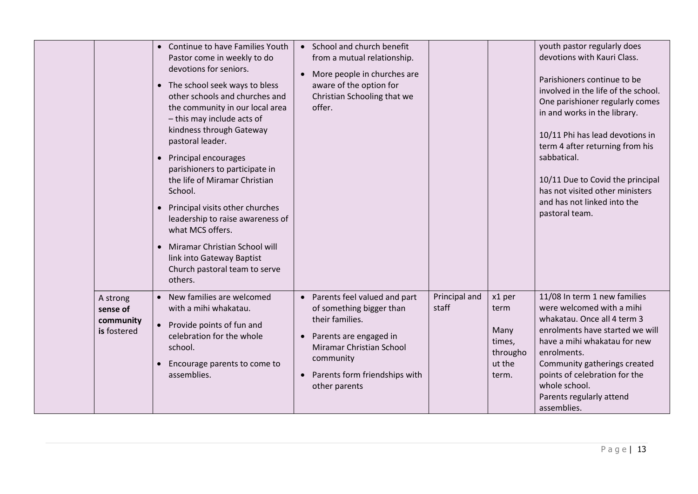|                                                  | Continue to have Families Youth<br>$\bullet$<br>Pastor come in weekly to do<br>devotions for seniors.<br>• The school seek ways to bless<br>other schools and churches and<br>the community in our local area<br>- this may include acts of<br>kindness through Gateway<br>pastoral leader.<br>• Principal encourages<br>parishioners to participate in<br>the life of Miramar Christian<br>School.<br>Principal visits other churches<br>leadership to raise awareness of<br>what MCS offers.<br>Miramar Christian School will<br>link into Gateway Baptist<br>Church pastoral team to serve<br>others. | • School and church benefit<br>from a mutual relationship.<br>More people in churches are<br>aware of the option for<br>Christian Schooling that we<br>offer.                                                                     |                        |                                                                 | youth pastor regularly does<br>devotions with Kauri Class.<br>Parishioners continue to be<br>involved in the life of the school.<br>One parishioner regularly comes<br>in and works in the library.<br>10/11 Phi has lead devotions in<br>term 4 after returning from his<br>sabbatical.<br>10/11 Due to Covid the principal<br>has not visited other ministers<br>and has not linked into the<br>pastoral team. |
|--------------------------------------------------|----------------------------------------------------------------------------------------------------------------------------------------------------------------------------------------------------------------------------------------------------------------------------------------------------------------------------------------------------------------------------------------------------------------------------------------------------------------------------------------------------------------------------------------------------------------------------------------------------------|-----------------------------------------------------------------------------------------------------------------------------------------------------------------------------------------------------------------------------------|------------------------|-----------------------------------------------------------------|------------------------------------------------------------------------------------------------------------------------------------------------------------------------------------------------------------------------------------------------------------------------------------------------------------------------------------------------------------------------------------------------------------------|
| A strong<br>sense of<br>community<br>is fostered | • New families are welcomed<br>with a mihi whakatau.<br>• Provide points of fun and<br>celebration for the whole<br>school.<br>Encourage parents to come to<br>assemblies.                                                                                                                                                                                                                                                                                                                                                                                                                               | Parents feel valued and part<br>$\bullet$<br>of something bigger than<br>their families.<br>Parents are engaged in<br>$\bullet$<br><b>Miramar Christian School</b><br>community<br>Parents form friendships with<br>other parents | Principal and<br>staff | x1 per<br>term<br>Many<br>times,<br>througho<br>ut the<br>term. | 11/08 In term 1 new families<br>were welcomed with a mihi<br>whakatau. Once all 4 term 3<br>enrolments have started we will<br>have a mihi whakatau for new<br>enrolments.<br>Community gatherings created<br>points of celebration for the<br>whole school.<br>Parents regularly attend<br>assemblies.                                                                                                          |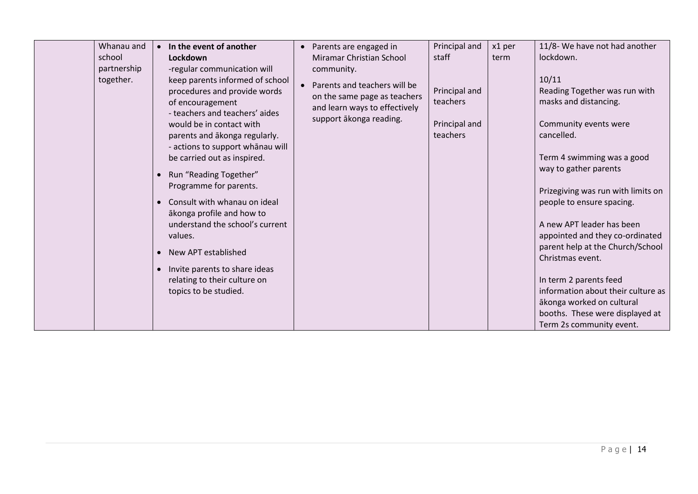| school | Whanau and<br>partnership<br>together. | In the event of another<br>$\bullet$<br><b>Lockdown</b><br>-regular communication will<br>keep parents informed of school<br>procedures and provide words<br>of encouragement<br>- teachers and teachers' aides<br>would be in contact with<br>parents and akonga regularly.<br>- actions to support whānau will<br>be carried out as inspired.<br>Run "Reading Together"<br>$\bullet$<br>Programme for parents.<br>Consult with whanau on ideal<br>$\bullet$<br>ākonga profile and how to<br>understand the school's current<br>values.<br>New APT established<br>$\bullet$<br>Invite parents to share ideas<br>$\bullet$<br>relating to their culture on<br>topics to be studied. | Parents are engaged in<br>$\bullet$<br>Miramar Christian School<br>community.<br>Parents and teachers will be<br>$\bullet$<br>on the same page as teachers<br>and learn ways to effectively<br>support ākonga reading. | Principal and<br>staff<br>Principal and<br>teachers<br>Principal and<br>teachers | x1 per<br>term | 11/8- We have not had another<br>lockdown.<br>10/11<br>Reading Together was run with<br>masks and distancing.<br>Community events were<br>cancelled.<br>Term 4 swimming was a good<br>way to gather parents<br>Prizegiving was run with limits on<br>people to ensure spacing.<br>A new APT leader has been<br>appointed and they co-ordinated<br>parent help at the Church/School<br>Christmas event.<br>In term 2 parents feed<br>information about their culture as<br>ākonga worked on cultural<br>booths. These were displayed at<br>Term 2s community event. |
|--------|----------------------------------------|-------------------------------------------------------------------------------------------------------------------------------------------------------------------------------------------------------------------------------------------------------------------------------------------------------------------------------------------------------------------------------------------------------------------------------------------------------------------------------------------------------------------------------------------------------------------------------------------------------------------------------------------------------------------------------------|------------------------------------------------------------------------------------------------------------------------------------------------------------------------------------------------------------------------|----------------------------------------------------------------------------------|----------------|--------------------------------------------------------------------------------------------------------------------------------------------------------------------------------------------------------------------------------------------------------------------------------------------------------------------------------------------------------------------------------------------------------------------------------------------------------------------------------------------------------------------------------------------------------------------|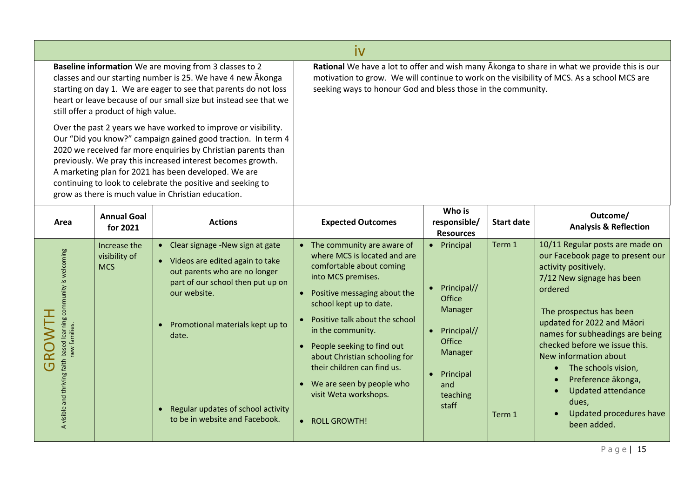|                                                                                                                                                                                                                                                                                                                                                                                                                                              | İV                                          |                                                                                                                                                                                                                                                                                                |                                                                                                                                                                                                                                                                                                                                                                                                                                  |                                                                                                                                             |                   |                                                                                                                                                                                                                                                                                                                                                                                                                        |  |  |
|----------------------------------------------------------------------------------------------------------------------------------------------------------------------------------------------------------------------------------------------------------------------------------------------------------------------------------------------------------------------------------------------------------------------------------------------|---------------------------------------------|------------------------------------------------------------------------------------------------------------------------------------------------------------------------------------------------------------------------------------------------------------------------------------------------|----------------------------------------------------------------------------------------------------------------------------------------------------------------------------------------------------------------------------------------------------------------------------------------------------------------------------------------------------------------------------------------------------------------------------------|---------------------------------------------------------------------------------------------------------------------------------------------|-------------------|------------------------------------------------------------------------------------------------------------------------------------------------------------------------------------------------------------------------------------------------------------------------------------------------------------------------------------------------------------------------------------------------------------------------|--|--|
| Baseline information We are moving from 3 classes to 2<br>classes and our starting number is 25. We have 4 new Akonga<br>starting on day 1. We are eager to see that parents do not loss<br>heart or leave because of our small size but instead see that we<br>still offer a product of high value.                                                                                                                                         |                                             |                                                                                                                                                                                                                                                                                                | seeking ways to honour God and bless those in the community.                                                                                                                                                                                                                                                                                                                                                                     |                                                                                                                                             |                   | Rational We have a lot to offer and wish many Akonga to share in what we provide this is our<br>motivation to grow. We will continue to work on the visibility of MCS. As a school MCS are                                                                                                                                                                                                                             |  |  |
| Over the past 2 years we have worked to improve or visibility.<br>Our "Did you know?" campaign gained good traction. In term 4<br>2020 we received far more enquiries by Christian parents than<br>previously. We pray this increased interest becomes growth.<br>A marketing plan for 2021 has been developed. We are<br>continuing to look to celebrate the positive and seeking to<br>grow as there is much value in Christian education. |                                             |                                                                                                                                                                                                                                                                                                |                                                                                                                                                                                                                                                                                                                                                                                                                                  |                                                                                                                                             |                   |                                                                                                                                                                                                                                                                                                                                                                                                                        |  |  |
| Area                                                                                                                                                                                                                                                                                                                                                                                                                                         | <b>Annual Goal</b><br>for 2021              | <b>Actions</b>                                                                                                                                                                                                                                                                                 | <b>Expected Outcomes</b>                                                                                                                                                                                                                                                                                                                                                                                                         | Who is<br>responsible/<br><b>Resources</b>                                                                                                  | <b>Start date</b> | Outcome/<br><b>Analysis &amp; Reflection</b>                                                                                                                                                                                                                                                                                                                                                                           |  |  |
| A visible and thriving faith-based learning community is welcoming<br>HLN<br>new families.<br>GR                                                                                                                                                                                                                                                                                                                                             | Increase the<br>visibility of<br><b>MCS</b> | • Clear signage -New sign at gate<br>• Videos are edited again to take<br>out parents who are no longer<br>part of our school then put up on<br>our website.<br>Promotional materials kept up to<br>date.<br>Regular updates of school activity<br>$\bullet$<br>to be in website and Facebook. | • The community are aware of<br>where MCS is located and are<br>comfortable about coming<br>into MCS premises.<br>Positive messaging about the<br>school kept up to date.<br>Positive talk about the school<br>in the community.<br>People seeking to find out<br>$\bullet$<br>about Christian schooling for<br>their children can find us.<br>We are seen by people who<br>$\bullet$<br>visit Weta workshops.<br>• ROLL GROWTH! | • Principal<br>Principal//<br>Office<br>Manager<br>• Principal//<br>Office<br>Manager<br>Principal<br>$\bullet$<br>and<br>teaching<br>staff | Term 1<br>Term 1  | 10/11 Regular posts are made on<br>our Facebook page to present our<br>activity positively.<br>7/12 New signage has been<br>ordered<br>The prospectus has been<br>updated for 2022 and Māori<br>names for subheadings are being<br>checked before we issue this.<br>New information about<br>The schools vision,<br>Preference ākonga,<br><b>Updated attendance</b><br>dues,<br>Updated procedures have<br>been added. |  |  |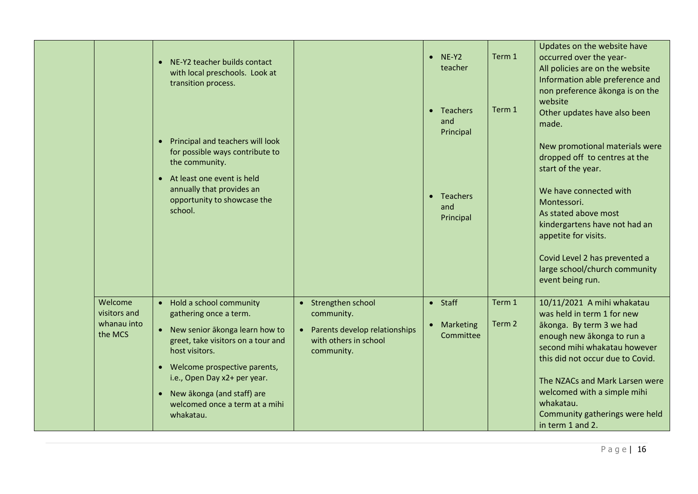|                                                   | • NE-Y2 teacher builds contact<br>with local preschools. Look at<br>transition process.<br>• Principal and teachers will look<br>for possible ways contribute to<br>the community.<br>• At least one event is held<br>annually that provides an<br>opportunity to showcase the<br>school.        |                                                                                                                      | $\bullet$ NE-Y2<br>teacher<br>• Teachers<br>and<br>Principal<br>• Teachers<br>and<br>Principal | Term 1<br>Term 1 | Updates on the website have<br>occurred over the year-<br>All policies are on the website<br>Information able preference and<br>non preference ākonga is on the<br>website<br>Other updates have also been<br>made.<br>New promotional materials were<br>dropped off to centres at the<br>start of the year.<br>We have connected with<br>Montessori.<br>As stated above most<br>kindergartens have not had an<br>appetite for visits.<br>Covid Level 2 has prevented a<br>large school/church community<br>event being run. |
|---------------------------------------------------|--------------------------------------------------------------------------------------------------------------------------------------------------------------------------------------------------------------------------------------------------------------------------------------------------|----------------------------------------------------------------------------------------------------------------------|------------------------------------------------------------------------------------------------|------------------|------------------------------------------------------------------------------------------------------------------------------------------------------------------------------------------------------------------------------------------------------------------------------------------------------------------------------------------------------------------------------------------------------------------------------------------------------------------------------------------------------------------------------|
| Welcome<br>visitors and<br>whanau into<br>the MCS | • Hold a school community<br>gathering once a term.<br>• New senior ākonga learn how to<br>greet, take visitors on a tour and<br>host visitors.<br>• Welcome prospective parents,<br>i.e., Open Day x2+ per year.<br>• New ākonga (and staff) are<br>welcomed once a term at a mihi<br>whakatau. | Strengthen school<br>$\bullet$<br>community.<br>Parents develop relationships<br>with others in school<br>community. | $\bullet$ Staff<br>• Marketing<br>Committee                                                    | Term 1<br>Term 2 | 10/11/2021 A mihi whakatau<br>was held in term 1 for new<br>ākonga. By term 3 we had<br>enough new ākonga to run a<br>second mihi whakatau however<br>this did not occur due to Covid.<br>The NZACs and Mark Larsen were<br>welcomed with a simple mihi<br>whakatau.<br>Community gatherings were held<br>in term 1 and 2.                                                                                                                                                                                                   |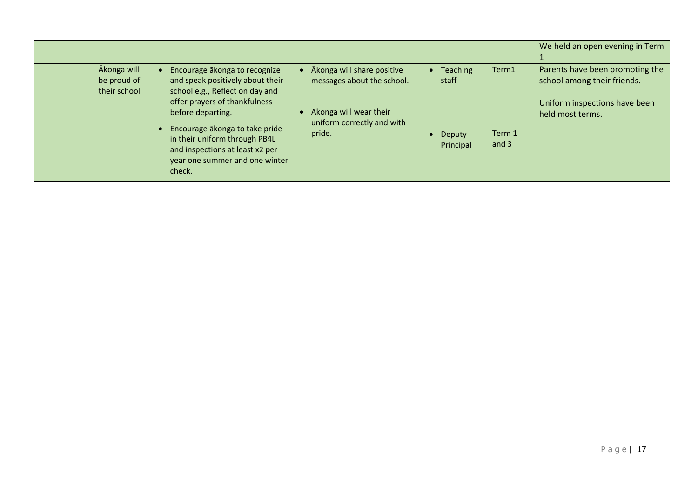|                                            |                                                                                                                                                            |                                                                                    |                     |                 | We held an open evening in Term                                                                                     |
|--------------------------------------------|------------------------------------------------------------------------------------------------------------------------------------------------------------|------------------------------------------------------------------------------------|---------------------|-----------------|---------------------------------------------------------------------------------------------------------------------|
| Ākonga will<br>be proud of<br>their school | Encourage ākonga to recognize<br>and speak positively about their<br>school e.g., Reflect on day and<br>offer prayers of thankfulness<br>before departing. | Ākonga will share positive<br>messages about the school.<br>Akonga will wear their | Teaching<br>staff   | Term1           | Parents have been promoting the<br>school among their friends.<br>Uniform inspections have been<br>held most terms. |
|                                            | Encourage ākonga to take pride<br>in their uniform through PB4L<br>and inspections at least x2 per<br>year one summer and one winter<br>check.             | uniform correctly and with<br>pride.                                               | Deputy<br>Principal | Term 1<br>and 3 |                                                                                                                     |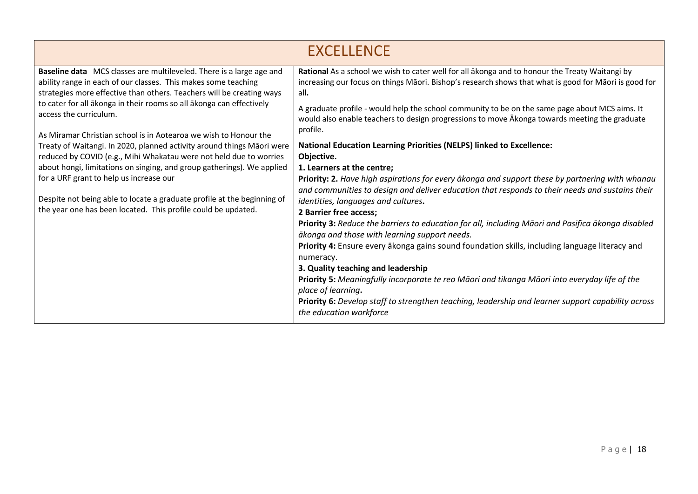|                                                                                                                                                                                                                                                                                         | <b>EXCELLENCE</b>                                                                                                                                                                                                                                                                                                 |
|-----------------------------------------------------------------------------------------------------------------------------------------------------------------------------------------------------------------------------------------------------------------------------------------|-------------------------------------------------------------------------------------------------------------------------------------------------------------------------------------------------------------------------------------------------------------------------------------------------------------------|
| Baseline data MCS classes are multileveled. There is a large age and<br>ability range in each of our classes. This makes some teaching<br>strategies more effective than others. Teachers will be creating ways<br>to cater for all ākonga in their rooms so all ākonga can effectively | Rational As a school we wish to cater well for all akonga and to honour the Treaty Waitangi by<br>increasing our focus on things Māori. Bishop's research shows that what is good for Māori is good for<br>all.<br>A graduate profile - would help the school community to be on the same page about MCS aims. It |
| access the curriculum.<br>As Miramar Christian school is in Aotearoa we wish to Honour the                                                                                                                                                                                              | would also enable teachers to design progressions to move Akonga towards meeting the graduate<br>profile.                                                                                                                                                                                                         |
| Treaty of Waitangi. In 2020, planned activity around things Māori were<br>reduced by COVID (e.g., Mihi Whakatau were not held due to worries                                                                                                                                            | <b>National Education Learning Priorities (NELPS) linked to Excellence:</b><br>Objective.                                                                                                                                                                                                                         |
| about hongi, limitations on singing, and group gatherings). We applied<br>for a URF grant to help us increase our                                                                                                                                                                       | 1. Learners at the centre;<br>Priority: 2. Have high aspirations for every ākonga and support these by partnering with whanau<br>and communities to design and deliver education that responds to their needs and sustains their                                                                                  |
| Despite not being able to locate a graduate profile at the beginning of<br>the year one has been located. This profile could be updated.                                                                                                                                                | identities, languages and cultures.<br>2 Barrier free access;<br>Priority 3: Reduce the barriers to education for all, including Māori and Pasifica ākonga disabled                                                                                                                                               |
|                                                                                                                                                                                                                                                                                         | ākonga and those with learning support needs.<br>Priority 4: Ensure every akonga gains sound foundation skills, including language literacy and                                                                                                                                                                   |
|                                                                                                                                                                                                                                                                                         | numeracy.<br>3. Quality teaching and leadership                                                                                                                                                                                                                                                                   |
|                                                                                                                                                                                                                                                                                         | Priority 5: Meaningfully incorporate te reo Māori and tikanga Māori into everyday life of the<br>place of learning.                                                                                                                                                                                               |
|                                                                                                                                                                                                                                                                                         | Priority 6: Develop staff to strengthen teaching, leadership and learner support capability across<br>the education workforce                                                                                                                                                                                     |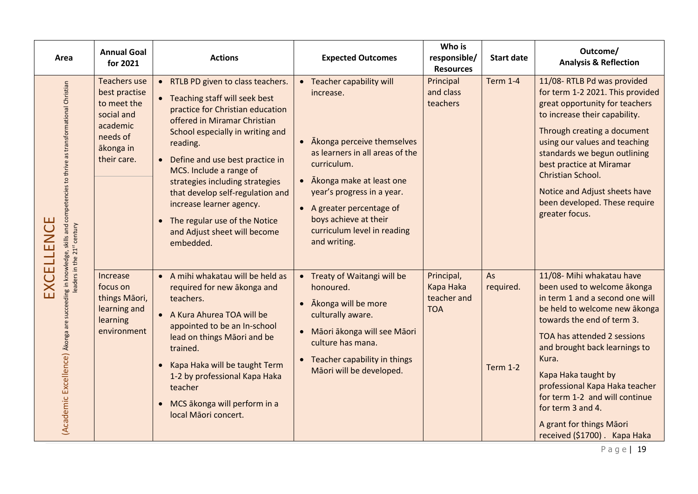| Area                                                                                                                                                                                 | <b>Annual Goal</b><br>for 2021                                                                                        | <b>Actions</b>                                                                                                                                                                                                                                                                                                                                                                                                                               | <b>Expected Outcomes</b>                                                                                                                                                                                                                                                              | Who is<br>responsible/<br><b>Resources</b>           | <b>Start date</b>                  | Outcome/<br><b>Analysis &amp; Reflection</b>                                                                                                                                                                                                                                                                                                                                                                    |
|--------------------------------------------------------------------------------------------------------------------------------------------------------------------------------------|-----------------------------------------------------------------------------------------------------------------------|----------------------------------------------------------------------------------------------------------------------------------------------------------------------------------------------------------------------------------------------------------------------------------------------------------------------------------------------------------------------------------------------------------------------------------------------|---------------------------------------------------------------------------------------------------------------------------------------------------------------------------------------------------------------------------------------------------------------------------------------|------------------------------------------------------|------------------------------------|-----------------------------------------------------------------------------------------------------------------------------------------------------------------------------------------------------------------------------------------------------------------------------------------------------------------------------------------------------------------------------------------------------------------|
| (Academic Excellence) Akonga are succeeding in knowledge, skills and competencies to thrive as transformational Christian<br>leades in the 21 <sup>2</sup> century<br>Щ<br>EXCELLENC | <b>Teachers use</b><br>best practise<br>to meet the<br>social and<br>academic<br>needs of<br>ākonga in<br>their care. | • RTLB PD given to class teachers.<br>• Teaching staff will seek best<br>practice for Christian education<br>offered in Miramar Christian<br>School especially in writing and<br>reading.<br>• Define and use best practice in<br>MCS. Include a range of<br>strategies including strategies<br>that develop self-regulation and<br>increase learner agency.<br>• The regular use of the Notice<br>and Adjust sheet will become<br>embedded. | • Teacher capability will<br>increase.<br>Akonga perceive themselves<br>as learners in all areas of the<br>curriculum.<br>Akonga make at least one<br>year's progress in a year.<br>• A greater percentage of<br>boys achieve at their<br>curriculum level in reading<br>and writing. | Principal<br>and class<br>teachers                   | <b>Term 1-4</b>                    | 11/08-RTLB Pd was provided<br>for term 1-2 2021. This provided<br>great opportunity for teachers<br>to increase their capability.<br>Through creating a document<br>using our values and teaching<br>standards we begun outlining<br>best practice at Miramar<br>Christian School.<br>Notice and Adjust sheets have<br>been developed. These require<br>greater focus.                                          |
|                                                                                                                                                                                      | Increase<br>focus on<br>things Māori,<br>learning and<br>learning<br>environment                                      | • A mihi whakatau will be held as<br>required for new akonga and<br>teachers.<br>• A Kura Ahurea TOA will be<br>appointed to be an In-school<br>lead on things Māori and be<br>trained.<br>Kapa Haka will be taught Term<br>1-2 by professional Kapa Haka<br>teacher<br>• MCS ākonga will perform in a<br>local Māori concert.                                                                                                               | • Treaty of Waitangi will be<br>honoured.<br>Akonga will be more<br>$\bullet$<br>culturally aware.<br>· Māori ākonga will see Māori<br>culture has mana.<br>Teacher capability in things<br>$\bullet$<br>Māori will be developed.                                                     | Principal,<br>Kapa Haka<br>teacher and<br><b>TOA</b> | As<br>required.<br><b>Term 1-2</b> | 11/08- Mihi whakatau have<br>been used to welcome ākonga<br>in term 1 and a second one will<br>be held to welcome new ākonga<br>towards the end of term 3.<br>TOA has attended 2 sessions<br>and brought back learnings to<br>Kura.<br>Kapa Haka taught by<br>professional Kapa Haka teacher<br>for term 1-2 and will continue<br>for term 3 and 4.<br>A grant for things Māori<br>received (\$1700). Kapa Haka |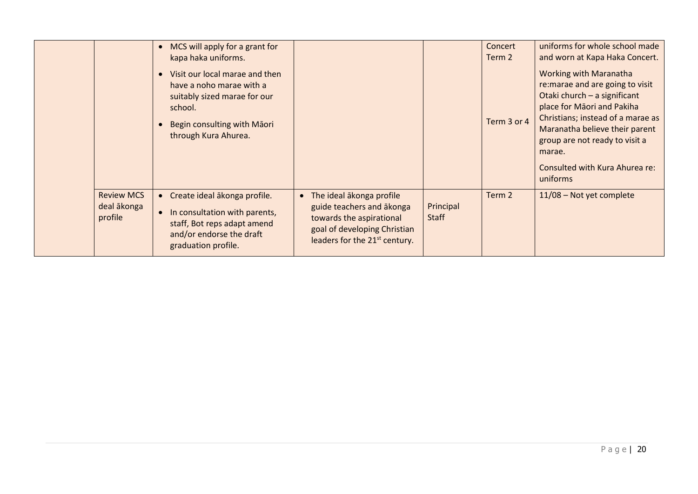|                                             | MCS will apply for a grant for<br>kapa haka uniforms.                                                                                                        |                                                                                                                                                                  |                           | Concert<br>Term 2 | uniforms for whole school made<br>and worn at Kapa Haka Concert.                                                                                                                                                                                                                                 |
|---------------------------------------------|--------------------------------------------------------------------------------------------------------------------------------------------------------------|------------------------------------------------------------------------------------------------------------------------------------------------------------------|---------------------------|-------------------|--------------------------------------------------------------------------------------------------------------------------------------------------------------------------------------------------------------------------------------------------------------------------------------------------|
|                                             | Visit our local marae and then<br>have a noho marae with a<br>suitably sized marae for our<br>school.<br>Begin consulting with Māori<br>through Kura Ahurea. |                                                                                                                                                                  |                           | Term 3 or 4       | <b>Working with Maranatha</b><br>re: marae and are going to visit<br>Otaki church - a significant<br>place for Māori and Pakiha<br>Christians; instead of a marae as<br>Maranatha believe their parent<br>group are not ready to visit a<br>marae.<br>Consulted with Kura Ahurea re:<br>uniforms |
| <b>Review MCS</b><br>deal ākonga<br>profile | Create ideal ākonga profile.<br>In consultation with parents,<br>staff, Bot reps adapt amend<br>and/or endorse the draft<br>graduation profile.              | • The ideal akonga profile<br>guide teachers and akonga<br>towards the aspirational<br>goal of developing Christian<br>leaders for the 21 <sup>st</sup> century. | Principal<br><b>Staff</b> | Term 2            | $11/08$ – Not yet complete                                                                                                                                                                                                                                                                       |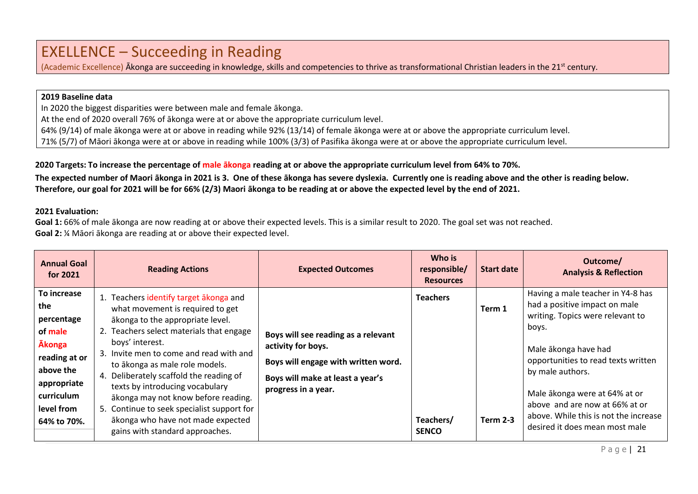### EXELLENCE – Succeeding in Reading

(Academic Excellence) Akonga are succeeding in knowledge, skills and competencies to thrive as transformational Christian leaders in the 21<sup>st</sup> century.

#### **2019 Baseline data**

In 2020 the biggest disparities were between male and female ākonga.

At the end of 2020 overall 76% of ākonga were at or above the appropriate curriculum level.

64% (9/14) of male ākonga were at or above in reading while 92% (13/14) of female ākonga were at or above the appropriate curriculum level.

71% (5/7) of Māori ākonga were at or above in reading while 100% (3/3) of Pasifika ākonga were at or above the appropriate curriculum level.

#### **2020 Targets: To increase the percentage of male ākonga reading at or above the appropriate curriculum level from 64% to 70%.**

**The expected number of Maori ākonga in 2021 is 3. One of these ākonga has severe dyslexia. Currently one is reading above and the other is reading below. Therefore, our goal for 2021 will be for 66% (2/3) Maori ākonga to be reading at or above the expected level by the end of 2021.**

#### **2021 Evaluation:**

**Goal 1:** 66% of male ākonga are now reading at or above their expected levels. This is a similar result to 2020. The goal set was not reached. **Goal 2:** ¼ Māori ākonga are reading at or above their expected level.

| <b>Annual Goal</b><br>for 2021                                                                                                                       | <b>Reading Actions</b>                                                                                                                                                                                                                                                                                                                                                                                                                                                                                | <b>Expected Outcomes</b>                                                                                                                                    | Who is<br>responsible/<br><b>Resources</b>   | <b>Start date</b>         | Outcome/<br><b>Analysis &amp; Reflection</b>                                                                                                                                                                                                                                                                                                     |
|------------------------------------------------------------------------------------------------------------------------------------------------------|-------------------------------------------------------------------------------------------------------------------------------------------------------------------------------------------------------------------------------------------------------------------------------------------------------------------------------------------------------------------------------------------------------------------------------------------------------------------------------------------------------|-------------------------------------------------------------------------------------------------------------------------------------------------------------|----------------------------------------------|---------------------------|--------------------------------------------------------------------------------------------------------------------------------------------------------------------------------------------------------------------------------------------------------------------------------------------------------------------------------------------------|
| To increase<br>the<br>percentage<br>of male<br><b>Akonga</b><br>reading at or<br>above the<br>appropriate<br>curriculum<br>level from<br>64% to 70%. | 1. Teachers identify target akonga and<br>what movement is required to get<br>ākonga to the appropriate level.<br>2. Teachers select materials that engage<br>boys' interest.<br>3. Invite men to come and read with and<br>to ākonga as male role models.<br>4. Deliberately scaffold the reading of<br>texts by introducing vocabulary<br>ākonga may not know before reading.<br>5. Continue to seek specialist support for<br>ākonga who have not made expected<br>gains with standard approaches. | Boys will see reading as a relevant<br>activity for boys.<br>Boys will engage with written word.<br>Boys will make at least a year's<br>progress in a year. | <b>Teachers</b><br>Teachers/<br><b>SENCO</b> | Term 1<br><b>Term 2-3</b> | Having a male teacher in Y4-8 has<br>had a positive impact on male<br>writing. Topics were relevant to<br>boys.<br>Male ākonga have had<br>opportunities to read texts written<br>by male authors.<br>Male ākonga were at 64% at or<br>above and are now at 66% at or<br>above. While this is not the increase<br>desired it does mean most male |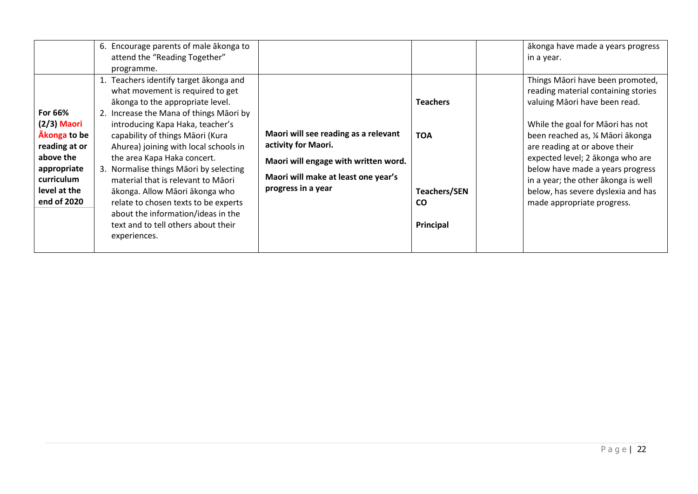| For 66%<br>$(2/3)$ Maori<br>Akonga to be<br>reading at or<br>above the<br>appropriate<br>curriculum<br>level at the | 6. Encourage parents of male akonga to<br>attend the "Reading Together"<br>programme.<br>1. Teachers identify target akonga and<br>what movement is required to get<br>ākonga to the appropriate level.<br>2. Increase the Mana of things Maori by<br>introducing Kapa Haka, teacher's<br>capability of things Māori (Kura<br>Ahurea) joining with local schools in<br>the area Kapa Haka concert.<br>3. Normalise things Māori by selecting<br>material that is relevant to Maori<br>ākonga. Allow Māori ākonga who | Maori will see reading as a relevant<br>activity for Maori.<br>Maori will engage with written word.<br>Maori will make at least one year's<br>progress in a year | <b>Teachers</b><br><b>TOA</b><br><b>Teachers/SEN</b> | ākonga have made a years progress<br>in a year.<br>Things Māori have been promoted,<br>reading material containing stories<br>valuing Māori have been read.<br>While the goal for Māori has not<br>been reached as, ¼ Māori ākonga<br>are reading at or above their<br>expected level; 2 ākonga who are<br>below have made a years progress<br>in a year; the other akonga is well<br>below, has severe dyslexia and has |
|---------------------------------------------------------------------------------------------------------------------|----------------------------------------------------------------------------------------------------------------------------------------------------------------------------------------------------------------------------------------------------------------------------------------------------------------------------------------------------------------------------------------------------------------------------------------------------------------------------------------------------------------------|------------------------------------------------------------------------------------------------------------------------------------------------------------------|------------------------------------------------------|--------------------------------------------------------------------------------------------------------------------------------------------------------------------------------------------------------------------------------------------------------------------------------------------------------------------------------------------------------------------------------------------------------------------------|
| end of 2020                                                                                                         | relate to chosen texts to be experts<br>about the information/ideas in the<br>text and to tell others about their<br>experiences.                                                                                                                                                                                                                                                                                                                                                                                    |                                                                                                                                                                  | <b>CO</b><br>Principal                               | made appropriate progress.                                                                                                                                                                                                                                                                                                                                                                                               |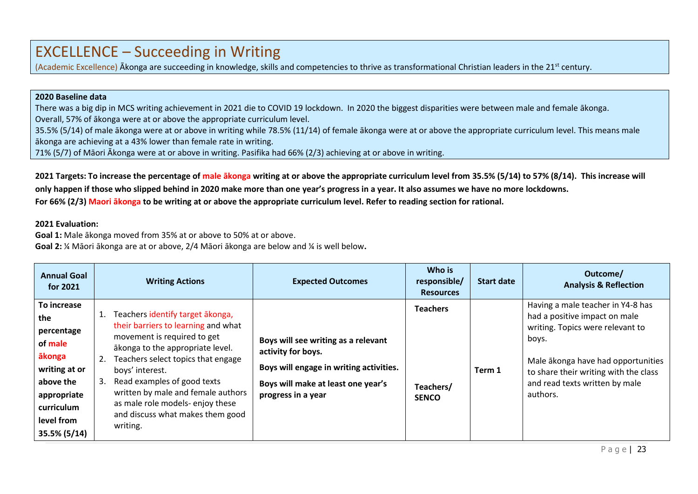### EXCELLENCE – Succeeding in Writing

(Academic Excellence) Ākonga are succeeding in knowledge, skills and competencies to thrive as transformational Christian leaders in the 21<sup>st</sup> century.

#### **2020 Baseline data**

There was a big dip in MCS writing achievement in 2021 die to COVID 19 lockdown. In 2020 the biggest disparities were between male and female ākonga. Overall, 57% of ākonga were at or above the appropriate curriculum level.

35.5% (5/14) of male ākonga were at or above in writing while 78.5% (11/14) of female ākonga were at or above the appropriate curriculum level. This means male ākonga are achieving at a 43% lower than female rate in writing.

71% (5/7) of Māori Ākonga were at or above in writing. Pasifika had 66% (2/3) achieving at or above in writing.

2021 Targets: To increase the percentage of male akonga writing at or above the appropriate curriculum level from 35.5% (5/14) to 57% (8/14). This increase will **only happen if those who slipped behind in 2020 make more than one year's progress in a year. It also assumes we have no more lockdowns. For 66% (2/3) Maori ākonga to be writing at or above the appropriate curriculum level. Refer to reading section for rational.** 

#### **2021 Evaluation:**

**Goal 1:** Male ākonga moved from 35% at or above to 50% at or above.

**Goal 2:** ¼ Māori ākonga are at or above, 2/4 Māori ākonga are below and ¼ is well below**.**

| <b>Annual Goal</b><br>for 2021                                                                                                                 | <b>Writing Actions</b>                                                                                                                                                                                                                                                                                                                                                  | <b>Expected Outcomes</b>                                                                                                                                         | Who is<br>responsible/<br><b>Resources</b>   | <b>Start date</b> | Outcome/<br><b>Analysis &amp; Reflection</b>                                                                                                                                                                                                 |
|------------------------------------------------------------------------------------------------------------------------------------------------|-------------------------------------------------------------------------------------------------------------------------------------------------------------------------------------------------------------------------------------------------------------------------------------------------------------------------------------------------------------------------|------------------------------------------------------------------------------------------------------------------------------------------------------------------|----------------------------------------------|-------------------|----------------------------------------------------------------------------------------------------------------------------------------------------------------------------------------------------------------------------------------------|
| To increase<br>the<br>percentage<br>of male<br>ākonga<br>writing at or<br>above the<br>appropriate<br>curriculum<br>level from<br>35.5% (5/14) | Teachers identify target ākonga,<br>their barriers to learning and what<br>movement is required to get<br>ākonga to the appropriate level.<br>Teachers select topics that engage<br>2.<br>boys' interest.<br>Read examples of good texts<br>3.<br>written by male and female authors<br>as male role models-enjoy these<br>and discuss what makes them good<br>writing. | Boys will see writing as a relevant<br>activity for boys.<br>Boys will engage in writing activities.<br>Boys will make at least one year's<br>progress in a year | <b>Teachers</b><br>Teachers/<br><b>SENCO</b> | Term 1            | Having a male teacher in Y4-8 has<br>had a positive impact on male<br>writing. Topics were relevant to<br>boys.<br>Male ākonga have had opportunities<br>to share their writing with the class<br>and read texts written by male<br>authors. |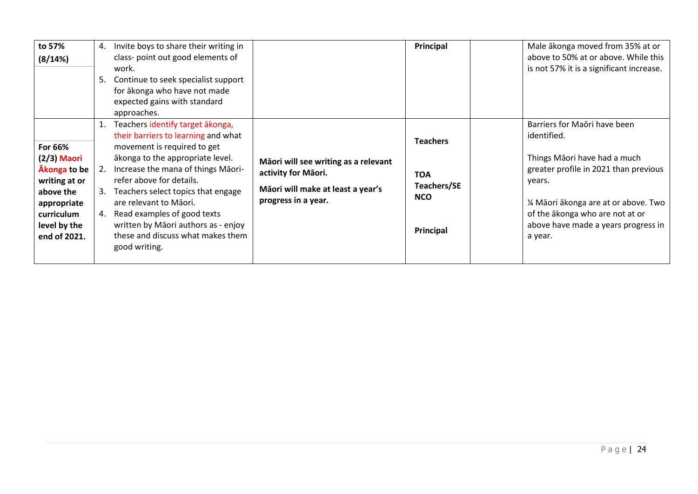| to 57%<br>(8/14%)                                                                                                                   | 4.<br>5.             | Invite boys to share their writing in<br>class- point out good elements of<br>work.<br>Continue to seek specialist support<br>for ākonga who have not made<br>expected gains with standard<br>approaches.                                                                                                                                                                                                |                                                                                                                         | Principal                                                               | Male ākonga moved from 35% at or<br>above to 50% at or above. While this<br>is not 57% it is a significant increase.                                                                                                                                         |
|-------------------------------------------------------------------------------------------------------------------------------------|----------------------|----------------------------------------------------------------------------------------------------------------------------------------------------------------------------------------------------------------------------------------------------------------------------------------------------------------------------------------------------------------------------------------------------------|-------------------------------------------------------------------------------------------------------------------------|-------------------------------------------------------------------------|--------------------------------------------------------------------------------------------------------------------------------------------------------------------------------------------------------------------------------------------------------------|
| For 66%<br>$(2/3)$ Maori<br>Akonga to be<br>writing at or<br>above the<br>appropriate<br>curriculum<br>level by the<br>end of 2021. | 1.<br>2.<br>3.<br>4. | Teachers identify target ākonga,<br>their barriers to learning and what<br>movement is required to get<br>ākonga to the appropriate level.<br>Increase the mana of things Māori-<br>refer above for details.<br>Teachers select topics that engage<br>are relevant to Māori.<br>Read examples of good texts<br>written by Māori authors as - enjoy<br>these and discuss what makes them<br>good writing. | Māori will see writing as a relevant<br>activity for Māori.<br>Māori will make at least a year's<br>progress in a year. | <b>Teachers</b><br><b>TOA</b><br>Teachers/SE<br><b>NCO</b><br>Principal | Barriers for Maori have been<br>identified.<br>Things Māori have had a much<br>greater profile in 2021 than previous<br>years.<br>1⁄4 Māori ākonga are at or above. Two<br>of the akonga who are not at or<br>above have made a years progress in<br>a year. |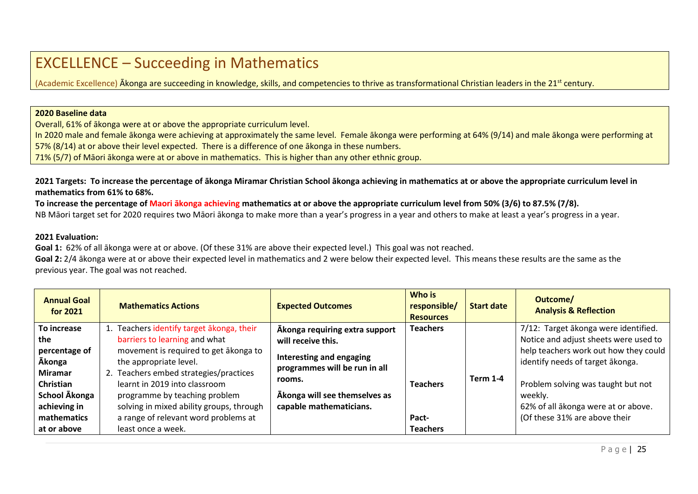### EXCELLENCE – Succeeding in Mathematics

(Academic Excellence) Akonga are succeeding in knowledge, skills, and competencies to thrive as transformational Christian leaders in the 21<sup>st</sup> century.

#### **2020 Baseline data**

Overall, 61% of ākonga were at or above the appropriate curriculum level.

In 2020 male and female ākonga were achieving at approximately the same level. Female ākonga were performing at 64% (9/14) and male ākonga were performing at 57% (8/14) at or above their level expected. There is a difference of one ākonga in these numbers.

71% (5/7) of Māori ākonga were at or above in mathematics. This is higher than any other ethnic group.

2021 Targets: To increase the percentage of ākonga Miramar Christian School ākonga achieving in mathematics at or above the appropriate curriculum level in **mathematics from 61% to 68%.**

**To increase the percentage of Maori ākonga achieving mathematics at or above the appropriate curriculum level from 50% (3/6) to 87.5% (7/8).** NB Māori target set for 2020 requires two Māori ākonga to make more than a year's progress in a year and others to make at least a year's progress in a year.

#### **2021 Evaluation:**

**Goal 1:** 62% of all ākonga were at or above. (Of these 31% are above their expected level.) This goal was not reached.

**Goal 2:** 2/4 ākonga were at or above their expected level in mathematics and 2 were below their expected level. This means these results are the same as the previous year. The goal was not reached.

| <b>Annual Goal</b><br>for $2021$                                                                                            | <b>Mathematics Actions</b>                                                                                                                                                                                                                                                                       | <b>Expected Outcomes</b>                                                                                                                              | Who is<br>responsible/<br><b>Resources</b> | <b>Start date</b> | Outcome/<br><b>Analysis &amp; Reflection</b>                                                                                                                                                                                                |
|-----------------------------------------------------------------------------------------------------------------------------|--------------------------------------------------------------------------------------------------------------------------------------------------------------------------------------------------------------------------------------------------------------------------------------------------|-------------------------------------------------------------------------------------------------------------------------------------------------------|--------------------------------------------|-------------------|---------------------------------------------------------------------------------------------------------------------------------------------------------------------------------------------------------------------------------------------|
| To increase                                                                                                                 | 1. Teachers identify target akonga, their                                                                                                                                                                                                                                                        | Akonga requiring extra support                                                                                                                        | <b>Teachers</b>                            |                   | 7/12: Target ākonga were identified.                                                                                                                                                                                                        |
| the<br>percentage of<br><b>Ākonga</b><br><b>Miramar</b><br><b>Christian</b><br>School Akonga<br>achieving in<br>mathematics | barriers to learning and what<br>movement is required to get akonga to<br>the appropriate level.<br>2. Teachers embed strategies/practices<br>learnt in 2019 into classroom<br>programme by teaching problem<br>solving in mixed ability groups, through<br>a range of relevant word problems at | will receive this.<br>Interesting and engaging<br>programmes will be run in all<br>rooms.<br>Akonga will see themselves as<br>capable mathematicians. | <b>Teachers</b><br>Pact-                   | <b>Term 1-4</b>   | Notice and adjust sheets were used to<br>help teachers work out how they could<br>identify needs of target akonga.<br>Problem solving was taught but not<br>weekly.<br>62% of all ākonga were at or above.<br>(Of these 31% are above their |
| at or above                                                                                                                 | least once a week.                                                                                                                                                                                                                                                                               |                                                                                                                                                       | <b>Teachers</b>                            |                   |                                                                                                                                                                                                                                             |